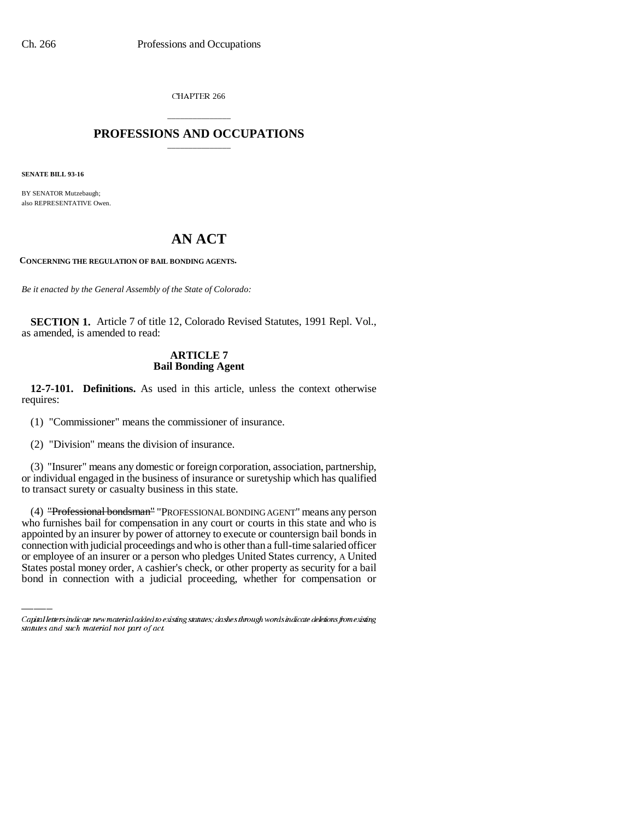CHAPTER 266

## \_\_\_\_\_\_\_\_\_\_\_\_\_\_\_ **PROFESSIONS AND OCCUPATIONS** \_\_\_\_\_\_\_\_\_\_\_\_\_\_\_

**SENATE BILL 93-16**

BY SENATOR Mutzebaugh; also REPRESENTATIVE Owen.

# **AN ACT**

**CONCERNING THE REGULATION OF BAIL BONDING AGENTS.**

*Be it enacted by the General Assembly of the State of Colorado:*

**SECTION 1.** Article 7 of title 12, Colorado Revised Statutes, 1991 Repl. Vol., as amended, is amended to read:

### **ARTICLE 7 Bail Bonding Agent**

**12-7-101. Definitions.** As used in this article, unless the context otherwise requires:

(1) "Commissioner" means the commissioner of insurance.

(2) "Division" means the division of insurance.

(3) "Insurer" means any domestic or foreign corporation, association, partnership, or individual engaged in the business of insurance or suretyship which has qualified to transact surety or casualty business in this state.

appointed by an insurer by power of attorney to execute or countersign bail bonds in (4) "Professional bondsman" "PROFESSIONAL BONDING AGENT" means any person who furnishes bail for compensation in any court or courts in this state and who is connection with judicial proceedings and who is other than a full-time salaried officer or employee of an insurer or a person who pledges United States currency, A United States postal money order, A cashier's check, or other property as security for a bail bond in connection with a judicial proceeding, whether for compensation or

Capital letters indicate new material added to existing statutes; dashes through words indicate deletions from existing statutes and such material not part of act.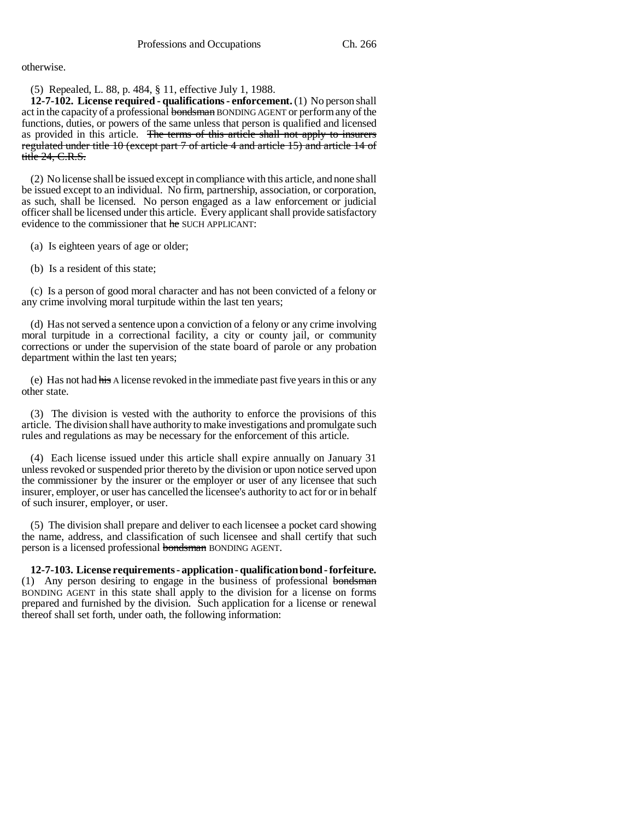otherwise.

(5) Repealed, L. 88, p. 484, § 11, effective July 1, 1988.

**12-7-102. License required - qualifications - enforcement.** (1) No person shall act in the capacity of a professional bondsman BONDING AGENT or perform any of the functions, duties, or powers of the same unless that person is qualified and licensed as provided in this article. The terms of this article shall not apply to insurers regulated under title 10 (except part 7 of article 4 and article 15) and article 14 of title 24, C.R.S.

(2) No license shall be issued except in compliance with this article, and none shall be issued except to an individual. No firm, partnership, association, or corporation, as such, shall be licensed. No person engaged as a law enforcement or judicial officer shall be licensed under this article. Every applicant shall provide satisfactory evidence to the commissioner that he SUCH APPLICANT:

(a) Is eighteen years of age or older;

(b) Is a resident of this state;

(c) Is a person of good moral character and has not been convicted of a felony or any crime involving moral turpitude within the last ten years;

(d) Has not served a sentence upon a conviction of a felony or any crime involving moral turpitude in a correctional facility, a city or county jail, or community corrections or under the supervision of the state board of parole or any probation department within the last ten years;

(e) Has not had his A license revoked in the immediate past five years in this or any other state.

(3) The division is vested with the authority to enforce the provisions of this article. The division shall have authority to make investigations and promulgate such rules and regulations as may be necessary for the enforcement of this article.

(4) Each license issued under this article shall expire annually on January 31 unless revoked or suspended prior thereto by the division or upon notice served upon the commissioner by the insurer or the employer or user of any licensee that such insurer, employer, or user has cancelled the licensee's authority to act for or in behalf of such insurer, employer, or user.

(5) The division shall prepare and deliver to each licensee a pocket card showing the name, address, and classification of such licensee and shall certify that such person is a licensed professional bondsman BONDING AGENT.

**12-7-103. License requirements - application - qualification bond - forfeiture.** (1) Any person desiring to engage in the business of professional bondsman BONDING AGENT in this state shall apply to the division for a license on forms prepared and furnished by the division. Such application for a license or renewal thereof shall set forth, under oath, the following information: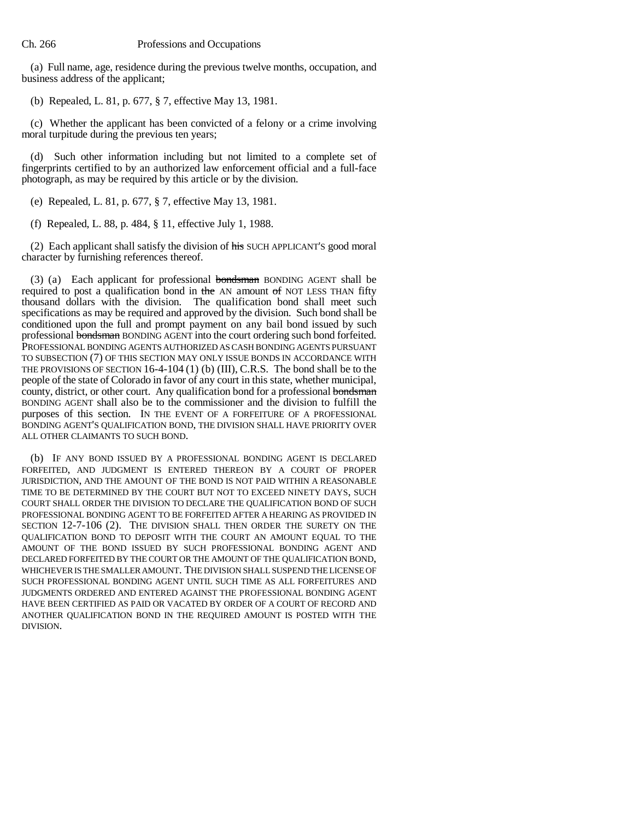(a) Full name, age, residence during the previous twelve months, occupation, and business address of the applicant;

(b) Repealed, L. 81, p. 677, § 7, effective May 13, 1981.

(c) Whether the applicant has been convicted of a felony or a crime involving moral turpitude during the previous ten years;

(d) Such other information including but not limited to a complete set of fingerprints certified to by an authorized law enforcement official and a full-face photograph, as may be required by this article or by the division.

(e) Repealed, L. 81, p. 677, § 7, effective May 13, 1981.

(f) Repealed, L. 88, p. 484, § 11, effective July 1, 1988.

(2) Each applicant shall satisfy the division of his SUCH APPLICANT'S good moral character by furnishing references thereof.

(3) (a) Each applicant for professional bondsman BONDING AGENT shall be required to post a qualification bond in the AN amount of NOT LESS THAN fifty thousand dollars with the division. The qualification bond shall meet such specifications as may be required and approved by the division. Such bond shall be conditioned upon the full and prompt payment on any bail bond issued by such professional bondsman BONDING AGENT into the court ordering such bond forfeited. PROFESSIONAL BONDING AGENTS AUTHORIZED AS CASH BONDING AGENTS PURSUANT TO SUBSECTION (7) OF THIS SECTION MAY ONLY ISSUE BONDS IN ACCORDANCE WITH THE PROVISIONS OF SECTION 16-4-104 (1) (b) (III), C.R.S. The bond shall be to the people of the state of Colorado in favor of any court in this state, whether municipal, county, district, or other court. Any qualification bond for a professional bondsman BONDING AGENT shall also be to the commissioner and the division to fulfill the purposes of this section. IN THE EVENT OF A FORFEITURE OF A PROFESSIONAL BONDING AGENT'S QUALIFICATION BOND, THE DIVISION SHALL HAVE PRIORITY OVER ALL OTHER CLAIMANTS TO SUCH BOND.

(b) IF ANY BOND ISSUED BY A PROFESSIONAL BONDING AGENT IS DECLARED FORFEITED, AND JUDGMENT IS ENTERED THEREON BY A COURT OF PROPER JURISDICTION, AND THE AMOUNT OF THE BOND IS NOT PAID WITHIN A REASONABLE TIME TO BE DETERMINED BY THE COURT BUT NOT TO EXCEED NINETY DAYS, SUCH COURT SHALL ORDER THE DIVISION TO DECLARE THE QUALIFICATION BOND OF SUCH PROFESSIONAL BONDING AGENT TO BE FORFEITED AFTER A HEARING AS PROVIDED IN SECTION 12-7-106 (2). THE DIVISION SHALL THEN ORDER THE SURETY ON THE QUALIFICATION BOND TO DEPOSIT WITH THE COURT AN AMOUNT EQUAL TO THE AMOUNT OF THE BOND ISSUED BY SUCH PROFESSIONAL BONDING AGENT AND DECLARED FORFEITED BY THE COURT OR THE AMOUNT OF THE QUALIFICATION BOND, WHICHEVER IS THE SMALLER AMOUNT. THE DIVISION SHALL SUSPEND THE LICENSE OF SUCH PROFESSIONAL BONDING AGENT UNTIL SUCH TIME AS ALL FORFEITURES AND JUDGMENTS ORDERED AND ENTERED AGAINST THE PROFESSIONAL BONDING AGENT HAVE BEEN CERTIFIED AS PAID OR VACATED BY ORDER OF A COURT OF RECORD AND ANOTHER QUALIFICATION BOND IN THE REQUIRED AMOUNT IS POSTED WITH THE DIVISION.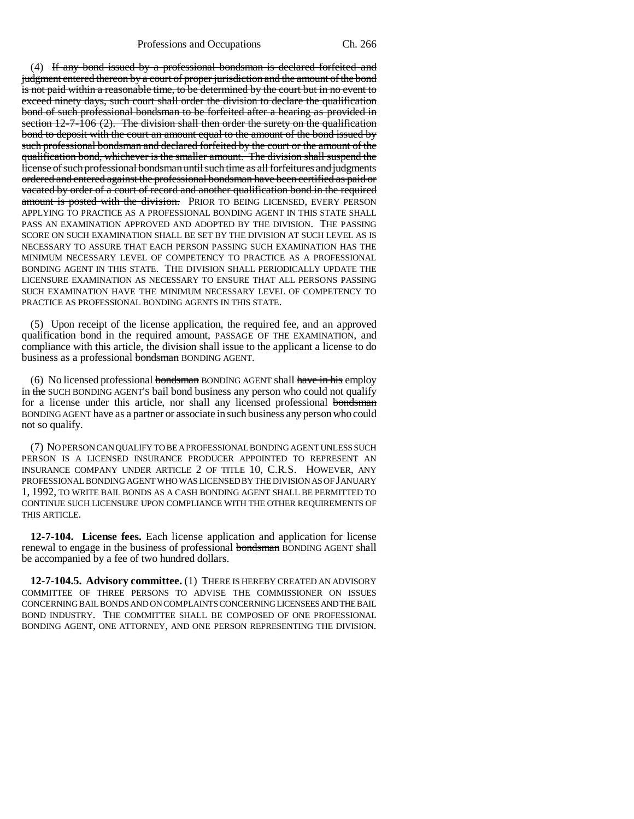(4) If any bond issued by a professional bondsman is declared forfeited and judgment entered thereon by a court of proper jurisdiction and the amount of the bond is not paid within a reasonable time, to be determined by the court but in no event to exceed ninety days, such court shall order the division to declare the qualification bond of such professional bondsman to be forfeited after a hearing as provided in section  $12-7-106$  (2). The division shall then order the surety on the qualification bond to deposit with the court an amount equal to the amount of the bond issued by such professional bondsman and declared forfeited by the court or the amount of the qualification bond, whichever is the smaller amount. The division shall suspend the license of such professional bondsman until such time as all forfeitures and judgments ordered and entered against the professional bondsman have been certified as paid or vacated by order of a court of record and another qualification bond in the required amount is posted with the division. PRIOR TO BEING LICENSED, EVERY PERSON APPLYING TO PRACTICE AS A PROFESSIONAL BONDING AGENT IN THIS STATE SHALL PASS AN EXAMINATION APPROVED AND ADOPTED BY THE DIVISION. THE PASSING SCORE ON SUCH EXAMINATION SHALL BE SET BY THE DIVISION AT SUCH LEVEL AS IS NECESSARY TO ASSURE THAT EACH PERSON PASSING SUCH EXAMINATION HAS THE MINIMUM NECESSARY LEVEL OF COMPETENCY TO PRACTICE AS A PROFESSIONAL BONDING AGENT IN THIS STATE. THE DIVISION SHALL PERIODICALLY UPDATE THE LICENSURE EXAMINATION AS NECESSARY TO ENSURE THAT ALL PERSONS PASSING SUCH EXAMINATION HAVE THE MINIMUM NECESSARY LEVEL OF COMPETENCY TO PRACTICE AS PROFESSIONAL BONDING AGENTS IN THIS STATE.

(5) Upon receipt of the license application, the required fee, and an approved qualification bond in the required amount, PASSAGE OF THE EXAMINATION, and compliance with this article, the division shall issue to the applicant a license to do business as a professional bondsman BONDING AGENT.

(6) No licensed professional bondsman BONDING AGENT shall have in his employ in the SUCH BONDING AGENT'S bail bond business any person who could not qualify for a license under this article, nor shall any licensed professional bondsman BONDING AGENT have as a partner or associate in such business any person who could not so qualify.

(7) NO PERSON CAN QUALIFY TO BE A PROFESSIONAL BONDING AGENT UNLESS SUCH PERSON IS A LICENSED INSURANCE PRODUCER APPOINTED TO REPRESENT AN INSURANCE COMPANY UNDER ARTICLE 2 OF TITLE 10, C.R.S. HOWEVER, ANY PROFESSIONAL BONDING AGENT WHO WAS LICENSED BY THE DIVISION AS OF JANUARY 1, 1992, TO WRITE BAIL BONDS AS A CASH BONDING AGENT SHALL BE PERMITTED TO CONTINUE SUCH LICENSURE UPON COMPLIANCE WITH THE OTHER REQUIREMENTS OF THIS ARTICLE.

**12-7-104. License fees.** Each license application and application for license renewal to engage in the business of professional bondsman BONDING AGENT shall be accompanied by a fee of two hundred dollars.

**12-7-104.5. Advisory committee.** (1) THERE IS HEREBY CREATED AN ADVISORY COMMITTEE OF THREE PERSONS TO ADVISE THE COMMISSIONER ON ISSUES CONCERNING BAIL BONDS AND ON COMPLAINTS CONCERNING LICENSEES AND THE BAIL BOND INDUSTRY. THE COMMITTEE SHALL BE COMPOSED OF ONE PROFESSIONAL BONDING AGENT, ONE ATTORNEY, AND ONE PERSON REPRESENTING THE DIVISION.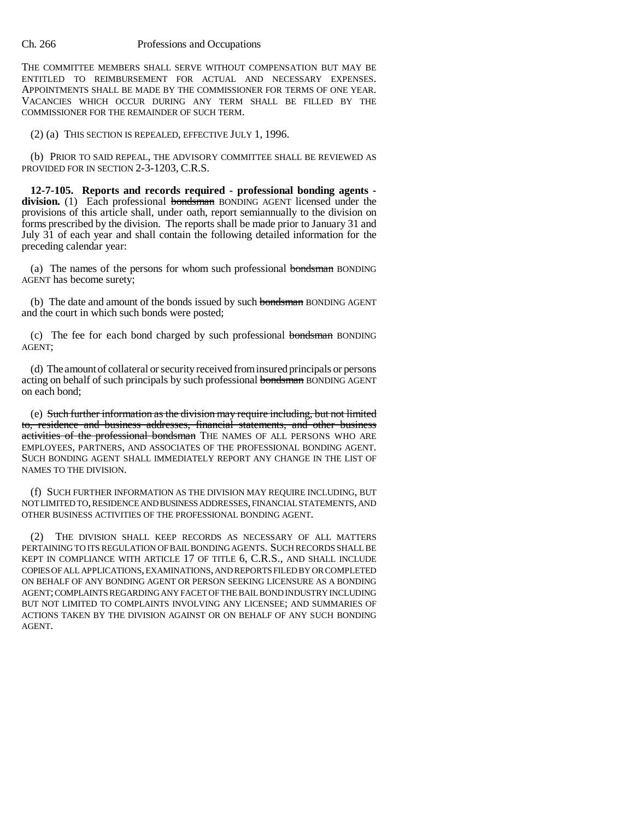#### Ch. 266 Professions and Occupations

THE COMMITTEE MEMBERS SHALL SERVE WITHOUT COMPENSATION BUT MAY BE ENTITLED TO REIMBURSEMENT FOR ACTUAL AND NECESSARY EXPENSES. APPOINTMENTS SHALL BE MADE BY THE COMMISSIONER FOR TERMS OF ONE YEAR. VACANCIES WHICH OCCUR DURING ANY TERM SHALL BE FILLED BY THE COMMISSIONER FOR THE REMAINDER OF SUCH TERM.

(2) (a) THIS SECTION IS REPEALED, EFFECTIVE JULY 1, 1996.

(b) PRIOR TO SAID REPEAL, THE ADVISORY COMMITTEE SHALL BE REVIEWED AS PROVIDED FOR IN SECTION 2-3-1203, C.R.S.

**12-7-105. Reports and records required - professional bonding agents division.** (1) Each professional bondsman BONDING AGENT licensed under the provisions of this article shall, under oath, report semiannually to the division on forms prescribed by the division. The reports shall be made prior to January 31 and July 31 of each year and shall contain the following detailed information for the preceding calendar year:

(a) The names of the persons for whom such professional bondsman BONDING AGENT has become surety;

(b) The date and amount of the bonds issued by such bondsman BONDING AGENT and the court in which such bonds were posted;

(c) The fee for each bond charged by such professional bondsman BONDING AGENT;

(d) The amount of collateral or security received from insured principals or persons acting on behalf of such principals by such professional bondsman BONDING AGENT on each bond;

(e) Such further information as the division may require including, but not limited to, residence and business addresses, financial statements, and other business activities of the professional bondsman THE NAMES OF ALL PERSONS WHO ARE EMPLOYEES, PARTNERS, AND ASSOCIATES OF THE PROFESSIONAL BONDING AGENT. SUCH BONDING AGENT SHALL IMMEDIATELY REPORT ANY CHANGE IN THE LIST OF NAMES TO THE DIVISION.

(f) SUCH FURTHER INFORMATION AS THE DIVISION MAY REQUIRE INCLUDING, BUT NOT LIMITED TO, RESIDENCE AND BUSINESS ADDRESSES, FINANCIAL STATEMENTS, AND OTHER BUSINESS ACTIVITIES OF THE PROFESSIONAL BONDING AGENT.

(2) THE DIVISION SHALL KEEP RECORDS AS NECESSARY OF ALL MATTERS PERTAINING TO ITS REGULATION OF BAIL BONDING AGENTS. SUCH RECORDS SHALL BE KEPT IN COMPLIANCE WITH ARTICLE 17 OF TITLE 6, C.R.S., AND SHALL INCLUDE COPIES OF ALL APPLICATIONS, EXAMINATIONS, AND REPORTS FILED BY OR COMPLETED ON BEHALF OF ANY BONDING AGENT OR PERSON SEEKING LICENSURE AS A BONDING AGENT; COMPLAINTS REGARDING ANY FACET OF THE BAIL BOND INDUSTRY INCLUDING BUT NOT LIMITED TO COMPLAINTS INVOLVING ANY LICENSEE; AND SUMMARIES OF ACTIONS TAKEN BY THE DIVISION AGAINST OR ON BEHALF OF ANY SUCH BONDING AGENT.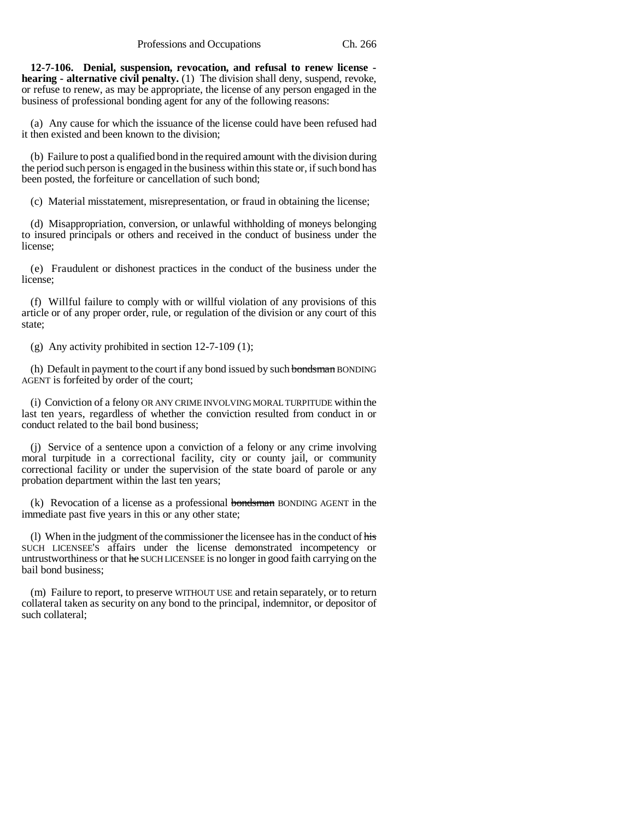**12-7-106. Denial, suspension, revocation, and refusal to renew license hearing - alternative civil penalty.** (1) The division shall deny, suspend, revoke, or refuse to renew, as may be appropriate, the license of any person engaged in the business of professional bonding agent for any of the following reasons:

(a) Any cause for which the issuance of the license could have been refused had it then existed and been known to the division;

(b) Failure to post a qualified bond in the required amount with the division during the period such person is engaged in the business within this state or, if such bond has been posted, the forfeiture or cancellation of such bond;

(c) Material misstatement, misrepresentation, or fraud in obtaining the license;

(d) Misappropriation, conversion, or unlawful withholding of moneys belonging to insured principals or others and received in the conduct of business under the license;

(e) Fraudulent or dishonest practices in the conduct of the business under the license;

(f) Willful failure to comply with or willful violation of any provisions of this article or of any proper order, rule, or regulation of the division or any court of this state;

(g) Any activity prohibited in section 12-7-109 (1);

(h) Default in payment to the court if any bond issued by such bondsman BONDING AGENT is forfeited by order of the court;

(i) Conviction of a felony OR ANY CRIME INVOLVING MORAL TURPITUDE within the last ten years, regardless of whether the conviction resulted from conduct in or conduct related to the bail bond business;

(j) Service of a sentence upon a conviction of a felony or any crime involving moral turpitude in a correctional facility, city or county jail, or community correctional facility or under the supervision of the state board of parole or any probation department within the last ten years;

 $(k)$  Revocation of a license as a professional **bondsman** BONDING AGENT in the immediate past five years in this or any other state;

(l) When in the judgment of the commissioner the licensee has in the conduct of his SUCH LICENSEE'S affairs under the license demonstrated incompetency or untrustworthiness or that he SUCH LICENSEE is no longer in good faith carrying on the bail bond business;

(m) Failure to report, to preserve WITHOUT USE and retain separately, or to return collateral taken as security on any bond to the principal, indemnitor, or depositor of such collateral;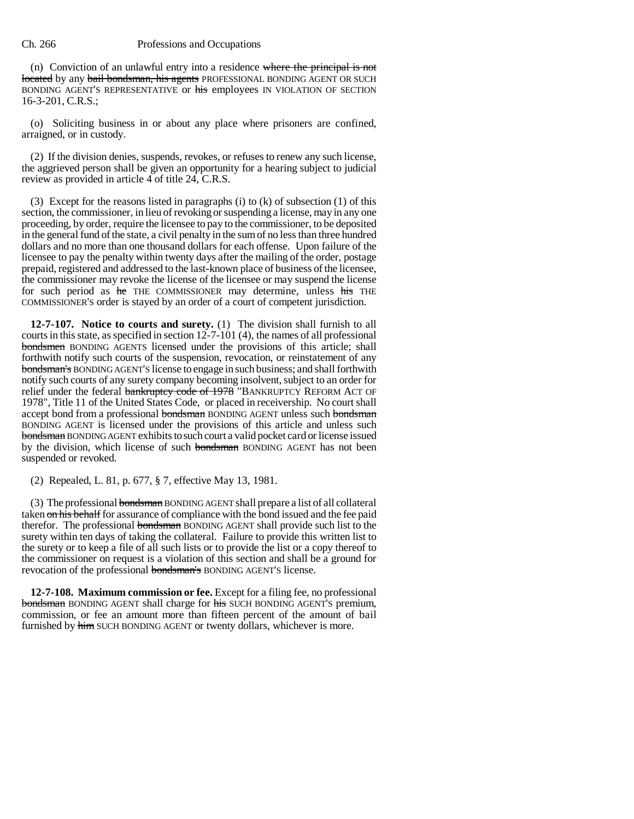#### Ch. 266 Professions and Occupations

(n) Conviction of an unlawful entry into a residence where the principal is not located by any bail bondsman, his agents PROFESSIONAL BONDING AGENT OR SUCH BONDING AGENT'S REPRESENTATIVE or his employees IN VIOLATION OF SECTION 16-3-201, C.R.S.;

(o) Soliciting business in or about any place where prisoners are confined, arraigned, or in custody.

(2) If the division denies, suspends, revokes, or refuses to renew any such license, the aggrieved person shall be given an opportunity for a hearing subject to judicial review as provided in article 4 of title 24, C.R.S.

(3) Except for the reasons listed in paragraphs (i) to  $(k)$  of subsection (1) of this section, the commissioner, in lieu of revoking or suspending a license, may in any one proceeding, by order, require the licensee to pay to the commissioner, to be deposited in the general fund of the state, a civil penalty in the sum of no less than three hundred dollars and no more than one thousand dollars for each offense. Upon failure of the licensee to pay the penalty within twenty days after the mailing of the order, postage prepaid, registered and addressed to the last-known place of business of the licensee, the commissioner may revoke the license of the licensee or may suspend the license for such period as he THE COMMISSIONER may determine, unless his THE COMMISSIONER'S order is stayed by an order of a court of competent jurisdiction.

**12-7-107. Notice to courts and surety.** (1) The division shall furnish to all courts in this state, as specified in section 12-7-101 (4), the names of all professional bondsmen BONDING AGENTS licensed under the provisions of this article; shall forthwith notify such courts of the suspension, revocation, or reinstatement of any bondsman's BONDING AGENT'S license to engage in such business; and shall forthwith notify such courts of any surety company becoming insolvent, subject to an order for relief under the federal bankruptcy code of 1978 "BANKRUPTCY REFORM ACT OF 1978", Title 11 of the United States Code, or placed in receivership. No court shall accept bond from a professional bondsman BONDING AGENT unless such bondsman BONDING AGENT is licensed under the provisions of this article and unless such bondsman BONDING AGENT exhibits to such court a valid pocket card or license issued by the division, which license of such bondsman BONDING AGENT has not been suspended or revoked.

(2) Repealed, L. 81, p. 677, § 7, effective May 13, 1981.

(3) The professional bondsman BONDING AGENT shall prepare a list of all collateral taken on his behalf for assurance of compliance with the bond issued and the fee paid therefor. The professional bondsman BONDING AGENT shall provide such list to the surety within ten days of taking the collateral. Failure to provide this written list to the surety or to keep a file of all such lists or to provide the list or a copy thereof to the commissioner on request is a violation of this section and shall be a ground for revocation of the professional bondsman's BONDING AGENT'S license.

**12-7-108. Maximum commission or fee.** Except for a filing fee, no professional bondsman BONDING AGENT shall charge for his SUCH BONDING AGENT'S premium, commission, or fee an amount more than fifteen percent of the amount of bail furnished by him SUCH BONDING AGENT or twenty dollars, whichever is more.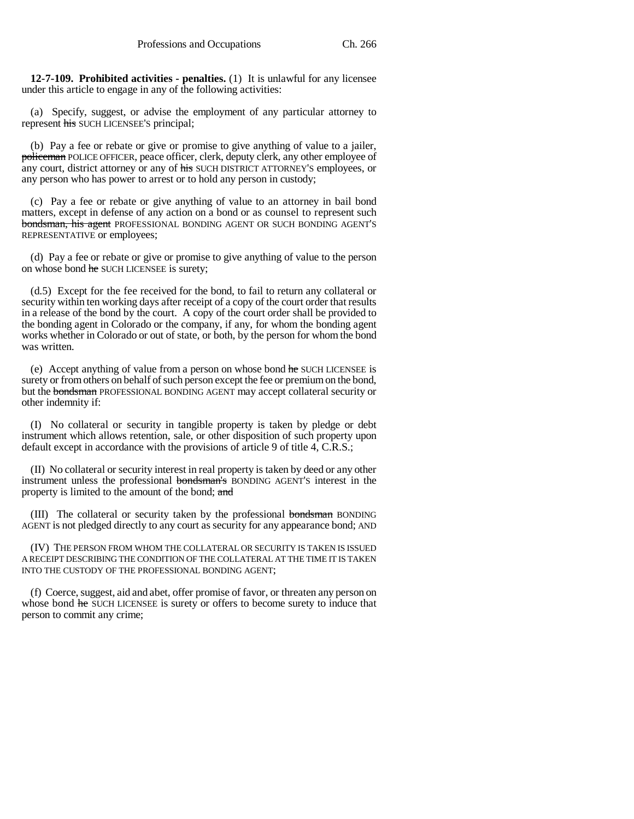**12-7-109. Prohibited activities - penalties.** (1) It is unlawful for any licensee under this article to engage in any of the following activities:

(a) Specify, suggest, or advise the employment of any particular attorney to represent his SUCH LICENSEE'S principal;

(b) Pay a fee or rebate or give or promise to give anything of value to a jailer, policeman POLICE OFFICER, peace officer, clerk, deputy clerk, any other employee of any court, district attorney or any of his SUCH DISTRICT ATTORNEY'S employees, or any person who has power to arrest or to hold any person in custody;

(c) Pay a fee or rebate or give anything of value to an attorney in bail bond matters, except in defense of any action on a bond or as counsel to represent such bondsman, his agent PROFESSIONAL BONDING AGENT OR SUCH BONDING AGENT'S REPRESENTATIVE or employees;

(d) Pay a fee or rebate or give or promise to give anything of value to the person on whose bond he SUCH LICENSEE is surety;

(d.5) Except for the fee received for the bond, to fail to return any collateral or security within ten working days after receipt of a copy of the court order that results in a release of the bond by the court. A copy of the court order shall be provided to the bonding agent in Colorado or the company, if any, for whom the bonding agent works whether in Colorado or out of state, or both, by the person for whom the bond was written.

(e) Accept anything of value from a person on whose bond he SUCH LICENSEE is surety or from others on behalf of such person except the fee or premium on the bond, but the bondsman PROFESSIONAL BONDING AGENT may accept collateral security or other indemnity if:

(I) No collateral or security in tangible property is taken by pledge or debt instrument which allows retention, sale, or other disposition of such property upon default except in accordance with the provisions of article 9 of title 4, C.R.S.;

(II) No collateral or security interest in real property is taken by deed or any other instrument unless the professional bondsman's BONDING AGENT'S interest in the property is limited to the amount of the bond; and

(III) The collateral or security taken by the professional bondsman BONDING AGENT is not pledged directly to any court as security for any appearance bond; AND

(IV) THE PERSON FROM WHOM THE COLLATERAL OR SECURITY IS TAKEN IS ISSUED A RECEIPT DESCRIBING THE CONDITION OF THE COLLATERAL AT THE TIME IT IS TAKEN INTO THE CUSTODY OF THE PROFESSIONAL BONDING AGENT;

(f) Coerce, suggest, aid and abet, offer promise of favor, or threaten any person on whose bond he SUCH LICENSEE is surety or offers to become surety to induce that person to commit any crime;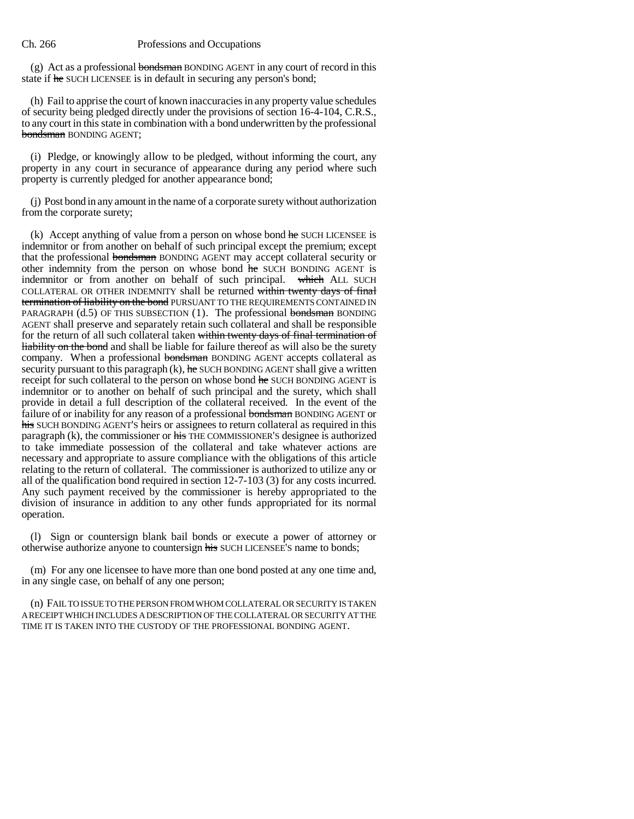#### Ch. 266 Professions and Occupations

(g) Act as a professional bondsman BONDING AGENT in any court of record in this state if he SUCH LICENSEE is in default in securing any person's bond;

(h) Fail to apprise the court of known inaccuracies in any property value schedules of security being pledged directly under the provisions of section 16-4-104, C.R.S., to any court in this state in combination with a bond underwritten by the professional bondsman BONDING AGENT;

(i) Pledge, or knowingly allow to be pledged, without informing the court, any property in any court in securance of appearance during any period where such property is currently pledged for another appearance bond;

(j) Post bond in any amount in the name of a corporate surety without authorization from the corporate surety;

(k) Accept anything of value from a person on whose bond he SUCH LICENSEE is indemnitor or from another on behalf of such principal except the premium; except that the professional bondsman BONDING AGENT may accept collateral security or other indemnity from the person on whose bond he SUCH BONDING AGENT is indemnitor or from another on behalf of such principal. which ALL SUCH COLLATERAL OR OTHER INDEMNITY shall be returned within twenty days of final termination of liability on the bond PURSUANT TO THE REQUIREMENTS CONTAINED IN PARAGRAPH  $(d.5)$  OF THIS SUBSECTION (1). The professional bondsman BONDING AGENT shall preserve and separately retain such collateral and shall be responsible for the return of all such collateral taken within twenty days of final termination of liability on the bond and shall be liable for failure thereof as will also be the surety company. When a professional bondsman BONDING AGENT accepts collateral as security pursuant to this paragraph  $(k)$ , he SUCH BONDING AGENT shall give a written receipt for such collateral to the person on whose bond he SUCH BONDING AGENT is indemnitor or to another on behalf of such principal and the surety, which shall provide in detail a full description of the collateral received. In the event of the failure of or inability for any reason of a professional bondsman BONDING AGENT or his SUCH BONDING AGENT'S heirs or assignees to return collateral as required in this paragraph (k), the commissioner or his THE COMMISSIONER'S designee is authorized to take immediate possession of the collateral and take whatever actions are necessary and appropriate to assure compliance with the obligations of this article relating to the return of collateral. The commissioner is authorized to utilize any or all of the qualification bond required in section 12-7-103 (3) for any costs incurred. Any such payment received by the commissioner is hereby appropriated to the division of insurance in addition to any other funds appropriated for its normal operation.

(l) Sign or countersign blank bail bonds or execute a power of attorney or otherwise authorize anyone to countersign his SUCH LICENSEE's name to bonds;

(m) For any one licensee to have more than one bond posted at any one time and, in any single case, on behalf of any one person;

(n) FAIL TO ISSUE TO THE PERSON FROM WHOM COLLATERAL OR SECURITY IS TAKEN A RECEIPT WHICH INCLUDES A DESCRIPTION OF THE COLLATERAL OR SECURITY AT THE TIME IT IS TAKEN INTO THE CUSTODY OF THE PROFESSIONAL BONDING AGENT.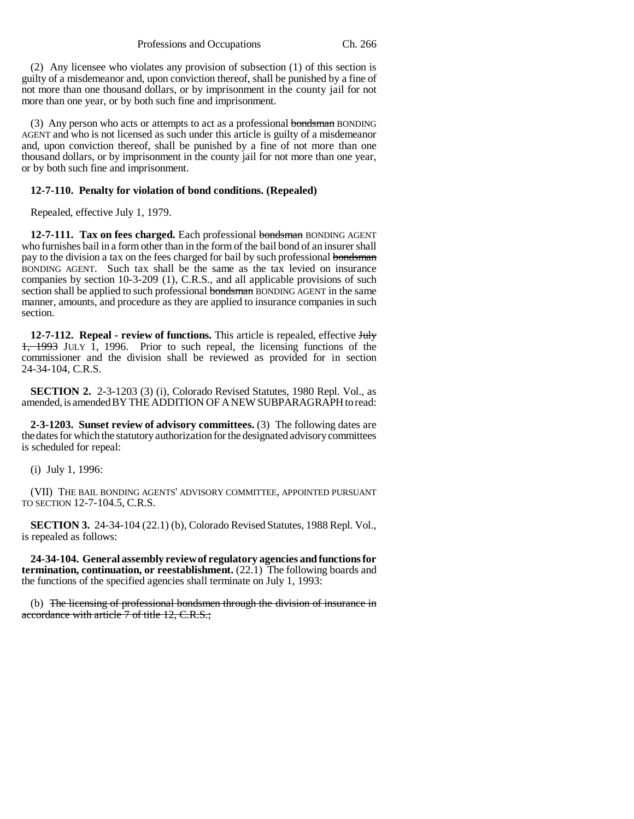(2) Any licensee who violates any provision of subsection (1) of this section is guilty of a misdemeanor and, upon conviction thereof, shall be punished by a fine of not more than one thousand dollars, or by imprisonment in the county jail for not more than one year, or by both such fine and imprisonment.

(3) Any person who acts or attempts to act as a professional bondsman BONDING AGENT and who is not licensed as such under this article is guilty of a misdemeanor and, upon conviction thereof, shall be punished by a fine of not more than one thousand dollars, or by imprisonment in the county jail for not more than one year, or by both such fine and imprisonment.

#### **12-7-110. Penalty for violation of bond conditions. (Repealed)**

Repealed, effective July 1, 1979.

12-7-111. Tax on fees charged. Each professional bondsman BONDING AGENT who furnishes bail in a form other than in the form of the bail bond of an insurer shall pay to the division a tax on the fees charged for bail by such professional bondsman BONDING AGENT. Such tax shall be the same as the tax levied on insurance companies by section 10-3-209 (1), C.R.S., and all applicable provisions of such section shall be applied to such professional bondsman BONDING AGENT in the same manner, amounts, and procedure as they are applied to insurance companies in such section.

**12-7-112. Repeal - review of functions.** This article is repealed, effective **July** 1, 1993 JULY 1, 1996. Prior to such repeal, the licensing functions of the commissioner and the division shall be reviewed as provided for in section 24-34-104, C.R.S.

**SECTION 2.** 2-3-1203 (3) (i), Colorado Revised Statutes, 1980 Repl. Vol., as amended, is amended BY THE ADDITION OF A NEW SUBPARAGRAPH to read:

**2-3-1203. Sunset review of advisory committees.** (3) The following dates are the dates for which the statutory authorization for the designated advisory committees is scheduled for repeal:

(i) July 1, 1996:

(VII) THE BAIL BONDING AGENTS' ADVISORY COMMITTEE, APPOINTED PURSUANT TO SECTION 12-7-104.5, C.R.S.

**SECTION 3.** 24-34-104 (22.1) (b), Colorado Revised Statutes, 1988 Repl. Vol., is repealed as follows:

**24-34-104. General assembly review of regulatory agencies and functions for termination, continuation, or reestablishment.** (22.1) The following boards and the functions of the specified agencies shall terminate on July 1, 1993:

(b) The licensing of professional bondsmen through the division of insurance in accordance with article 7 of title 12, C.R.S.;